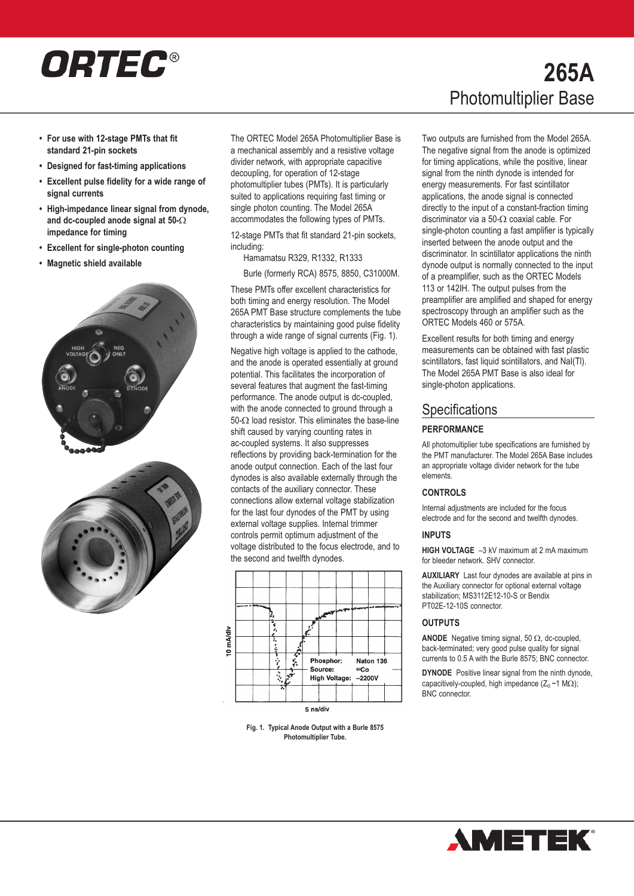# ORTEC®

- **• For use with 12-stage PMTs that fit standard 21-pin sockets**
- **• Designed for fast-timing applications**
- **• Excellent pulse fidelity for a wide range of signal currents**
- **• High-impedance linear signal from dynode, and dc-coupled anode signal at 50-** $\Omega$ **impedance for timing**
- **• Excellent for single-photon counting**
- **• Magnetic shield available**





The ORTEC Model 265A Photomultiplier Base is a mechanical assembly and a resistive voltage divider network, with appropriate capacitive decoupling, for operation of 12-stage photomultiplier tubes (PMTs). It is particularly suited to applications requiring fast timing or single photon counting. The Model 265A accommodates the following types of PMTs.

12-stage PMTs that fit standard 21-pin sockets, including:

Hamamatsu R329, R1332, R1333

Burle (formerly RCA) 8575, 8850, C31000M.

These PMTs offer excellent characteristics for both timing and energy resolution. The Model 265A PMT Base structure complements the tube characteristics by maintaining good pulse fidelity through a wide range of signal currents (Fig. 1).

Negative high voltage is applied to the cathode, and the anode is operated essentially at ground potential. This facilitates the incorporation of several features that augment the fast-timing performance. The anode output is dc-coupled, with the anode connected to ground through a 50- $\Omega$  load resistor. This eliminates the base-line shift caused by varying counting rates in ac-coupled systems. It also suppresses reflections by providing back-termination for the anode output connection. Each of the last four dynodes is also available externally through the contacts of the auxiliary connector. These connections allow external voltage stabilization for the last four dynodes of the PMT by using external voltage supplies. Internal trimmer controls permit optimum adjustment of the voltage distributed to the focus electrode, and to the second and twelfth dynodes.



**Fig. 1. Typical Anode Output with a Burle 8575 Photomultiplier Tube.**

# **265A** Photomultiplier Base

Two outputs are furnished from the Model 265A. The negative signal from the anode is optimized for timing applications, while the positive, linear signal from the ninth dynode is intended for energy measurements. For fast scintillator applications, the anode signal is connected directly to the input of a constant-fraction timing discriminator via a 50- $\Omega$  coaxial cable. For single-photon counting a fast amplifier is typically inserted between the anode output and the discriminator. In scintillator applications the ninth dynode output is normally connected to the input of a preamplifier, such as the [ORTEC](https://www.ortec-online.com/products/electronics/preamplifiers) Models 113 or [142IH.](https://www.ortec-online.com/products/electronics/preamplifiers) The output pulses from the preamplifier are amplified and shaped for energy spectroscopy through an amplifier such as the [ORTEC](https://www.ortec-online.com/products/electronics/amplifiers) Models 460 or 575A.

Excellent results for both timing and energy measurements can be obtained with fast plastic scintillators, fast liquid scintillators, and NaI(TI). The Model 265A PMT Base is also ideal for single-photon applications.

### **Specifications**

### **PERFORMANCE**

All photomultiplier tube specifications are furnished by the PMT manufacturer. The Model 265A Base includes an appropriate voltage divider network for the tube elements.

### **CONTROLS**

Internal adjustments are included for the focus electrode and for the second and twelfth dynodes.

### **INPUTS**

**HIGH VOLTAGE** –3 kV maximum at 2 mA maximum for bleeder network. SHV connector.

**AUXILIARY** Last four dynodes are available at pins in the Auxiliary connector for optional external voltage stabilization; MS3112E12-10-S or Bendix PT02E-12-10S connector.

### **OUTPUTS**

**ANODE** Negative timing signal, 50  $\Omega$ , dc-coupled, back-terminated; very good pulse quality for signal currents to 0.5 A with the Burle 8575; BNC connector.

**DYNODE** Positive linear signal from the ninth dynode. capacitively-coupled, high impedance  $(Z_0 \sim 1 \text{ M}\Omega)$ ; BNC connector.